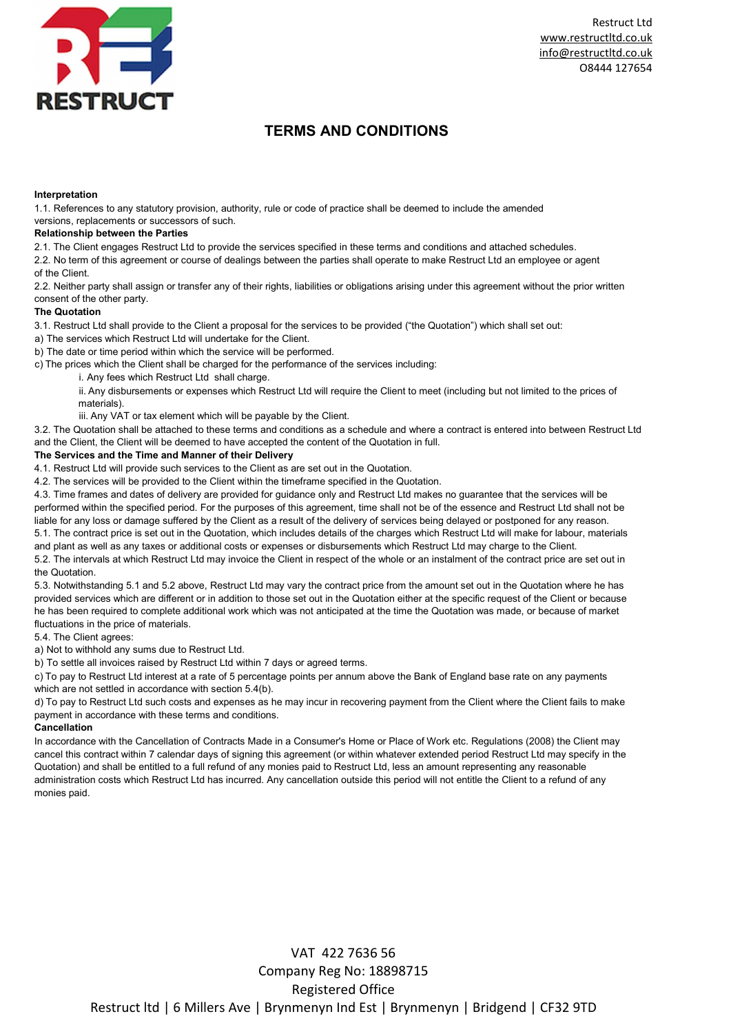

Restruct Ltd www.restructltd.co.uk info@restructltd.co.uk O8444 127654

## TERMS AND CONDITIONS

#### Interpretation

1.1. References to any statutory provision, authority, rule or code of practice shall be deemed to include the amended versions, replacements or successors of such.

### Relationship between the Parties

2.1. The Client engages Restruct Ltd to provide the services specified in these terms and conditions and attached schedules.

2.2. No term of this agreement or course of dealings between the parties shall operate to make Restruct Ltd an employee or agent of the Client.

2.2. Neither party shall assign or transfer any of their rights, liabilities or obligations arising under this agreement without the prior written consent of the other party.

### The Quotation

3.1. Restruct Ltd shall provide to the Client a proposal for the services to be provided ("the Quotation") which shall set out:

a) The services which Restruct Ltd will undertake for the Client.

b) The date or time period within which the service will be performed.

c) The prices which the Client shall be charged for the performance of the services including:

i. Any fees which Restruct Ltd shall charge.

ii. Any disbursements or expenses which Restruct Ltd will require the Client to meet (including but not limited to the prices of materials).

iii. Any VAT or tax element which will be payable by the Client.

3.2. The Quotation shall be attached to these terms and conditions as a schedule and where a contract is entered into between Restruct Ltd and the Client, the Client will be deemed to have accepted the content of the Quotation in full.

### The Services and the Time and Manner of their Delivery

4.1. Restruct Ltd will provide such services to the Client as are set out in the Quotation.

4.2. The services will be provided to the Client within the timeframe specified in the Quotation.

4.3. Time frames and dates of delivery are provided for guidance only and Restruct Ltd makes no guarantee that the services will be performed within the specified period. For the purposes of this agreement, time shall not be of the essence and Restruct Ltd shall not be liable for any loss or damage suffered by the Client as a result of the delivery of services being delayed or postponed for any reason. 5.1. The contract price is set out in the Quotation, which includes details of the charges which Restruct Ltd will make for labour, materials and plant as well as any taxes or additional costs or expenses or disbursements which Restruct Ltd may charge to the Client.

5.2. The intervals at which Restruct Ltd may invoice the Client in respect of the whole or an instalment of the contract price are set out in the Quotation.

5.3. Notwithstanding 5.1 and 5.2 above, Restruct Ltd may vary the contract price from the amount set out in the Quotation where he has provided services which are different or in addition to those set out in the Quotation either at the specific request of the Client or because he has been required to complete additional work which was not anticipated at the time the Quotation was made, or because of market fluctuations in the price of materials.

5.4. The Client agrees:

a) Not to withhold any sums due to Restruct Ltd.

b) To settle all invoices raised by Restruct Ltd within 7 days or agreed terms.

c) To pay to Restruct Ltd interest at a rate of 5 percentage points per annum above the Bank of England base rate on any payments which are not settled in accordance with section 5.4(b).

d) To pay to Restruct Ltd such costs and expenses as he may incur in recovering payment from the Client where the Client fails to make payment in accordance with these terms and conditions.

## Cancellation

In accordance with the Cancellation of Contracts Made in a Consumer's Home or Place of Work etc. Regulations (2008) the Client may cancel this contract within 7 calendar days of signing this agreement (or within whatever extended period Restruct Ltd may specify in the Quotation) and shall be entitled to a full refund of any monies paid to Restruct Ltd, less an amount representing any reasonable administration costs which Restruct Ltd has incurred. Any cancellation outside this period will not entitle the Client to a refund of any monies paid.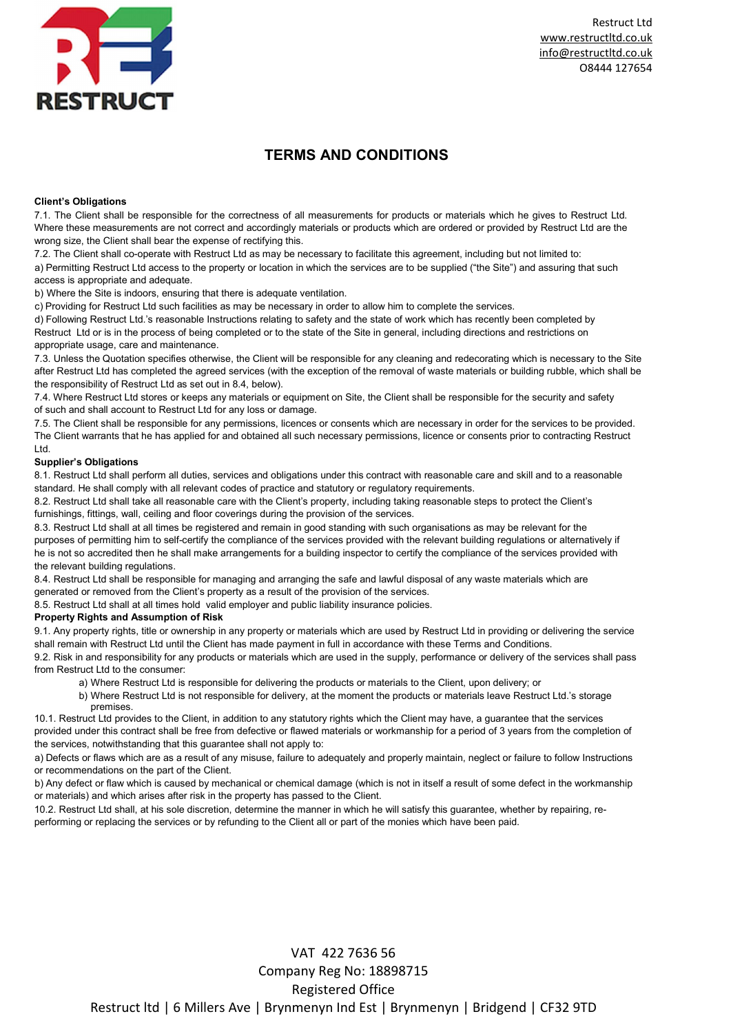

Restruct Ltd www.restructltd.co.uk info@restructltd.co.uk O8444 127654

## TERMS AND CONDITIONS

### Client's Obligations

7.1. The Client shall be responsible for the correctness of all measurements for products or materials which he gives to Restruct Ltd. Where these measurements are not correct and accordingly materials or products which are ordered or provided by Restruct Ltd are the wrong size, the Client shall bear the expense of rectifying this.

7.2. The Client shall co-operate with Restruct Ltd as may be necessary to facilitate this agreement, including but not limited to:

a) Permitting Restruct Ltd access to the property or location in which the services are to be supplied ("the Site") and assuring that such access is appropriate and adequate.

b) Where the Site is indoors, ensuring that there is adequate ventilation.

c) Providing for Restruct Ltd such facilities as may be necessary in order to allow him to complete the services.

d) Following Restruct Ltd.'s reasonable Instructions relating to safety and the state of work which has recently been completed by Restruct Ltd or is in the process of being completed or to the state of the Site in general, including directions and restrictions on appropriate usage, care and maintenance.

7.3. Unless the Quotation specifies otherwise, the Client will be responsible for any cleaning and redecorating which is necessary to the Site after Restruct Ltd has completed the agreed services (with the exception of the removal of waste materials or building rubble, which shall be the responsibility of Restruct Ltd as set out in 8.4, below).

7.4. Where Restruct Ltd stores or keeps any materials or equipment on Site, the Client shall be responsible for the security and safety of such and shall account to Restruct Ltd for any loss or damage.

7.5. The Client shall be responsible for any permissions, licences or consents which are necessary in order for the services to be provided. The Client warrants that he has applied for and obtained all such necessary permissions, licence or consents prior to contracting Restruct Ltd.

## Supplier's Obligations

8.1. Restruct Ltd shall perform all duties, services and obligations under this contract with reasonable care and skill and to a reasonable standard. He shall comply with all relevant codes of practice and statutory or regulatory requirements.

8.2. Restruct Ltd shall take all reasonable care with the Client's property, including taking reasonable steps to protect the Client's furnishings, fittings, wall, ceiling and floor coverings during the provision of the services.

8.3. Restruct Ltd shall at all times be registered and remain in good standing with such organisations as may be relevant for the purposes of permitting him to self-certify the compliance of the services provided with the relevant building regulations or alternatively if he is not so accredited then he shall make arrangements for a building inspector to certify the compliance of the services provided with the relevant building regulations.

8.4. Restruct Ltd shall be responsible for managing and arranging the safe and lawful disposal of any waste materials which are generated or removed from the Client's property as a result of the provision of the services.

8.5. Restruct Ltd shall at all times hold valid employer and public liability insurance policies.

## Property Rights and Assumption of Risk

9.1. Any property rights, title or ownership in any property or materials which are used by Restruct Ltd in providing or delivering the service shall remain with Restruct Ltd until the Client has made payment in full in accordance with these Terms and Conditions.

9.2. Risk in and responsibility for any products or materials which are used in the supply, performance or delivery of the services shall pass from Restruct I td to the consumer:

a) Where Restruct Ltd is responsible for delivering the products or materials to the Client, upon delivery; or

b) Where Restruct Ltd is not responsible for delivery, at the moment the products or materials leave Restruct Ltd.'s storage premises.

10.1. Restruct Ltd provides to the Client, in addition to any statutory rights which the Client may have, a guarantee that the services provided under this contract shall be free from defective or flawed materials or workmanship for a period of 3 years from the completion of the services, notwithstanding that this guarantee shall not apply to:

a) Defects or flaws which are as a result of any misuse, failure to adequately and properly maintain, neglect or failure to follow Instructions or recommendations on the part of the Client.

b) Any defect or flaw which is caused by mechanical or chemical damage (which is not in itself a result of some defect in the workmanship or materials) and which arises after risk in the property has passed to the Client.

10.2. Restruct Ltd shall, at his sole discretion, determine the manner in which he will satisfy this guarantee, whether by repairing, reperforming or replacing the services or by refunding to the Client all or part of the monies which have been paid.

# VAT 422 7636 56 Company Reg No: 18898715 Registered Office Restruct ltd | 6 Millers Ave | Brynmenyn Ind Est | Brynmenyn | Bridgend | CF32 9TD